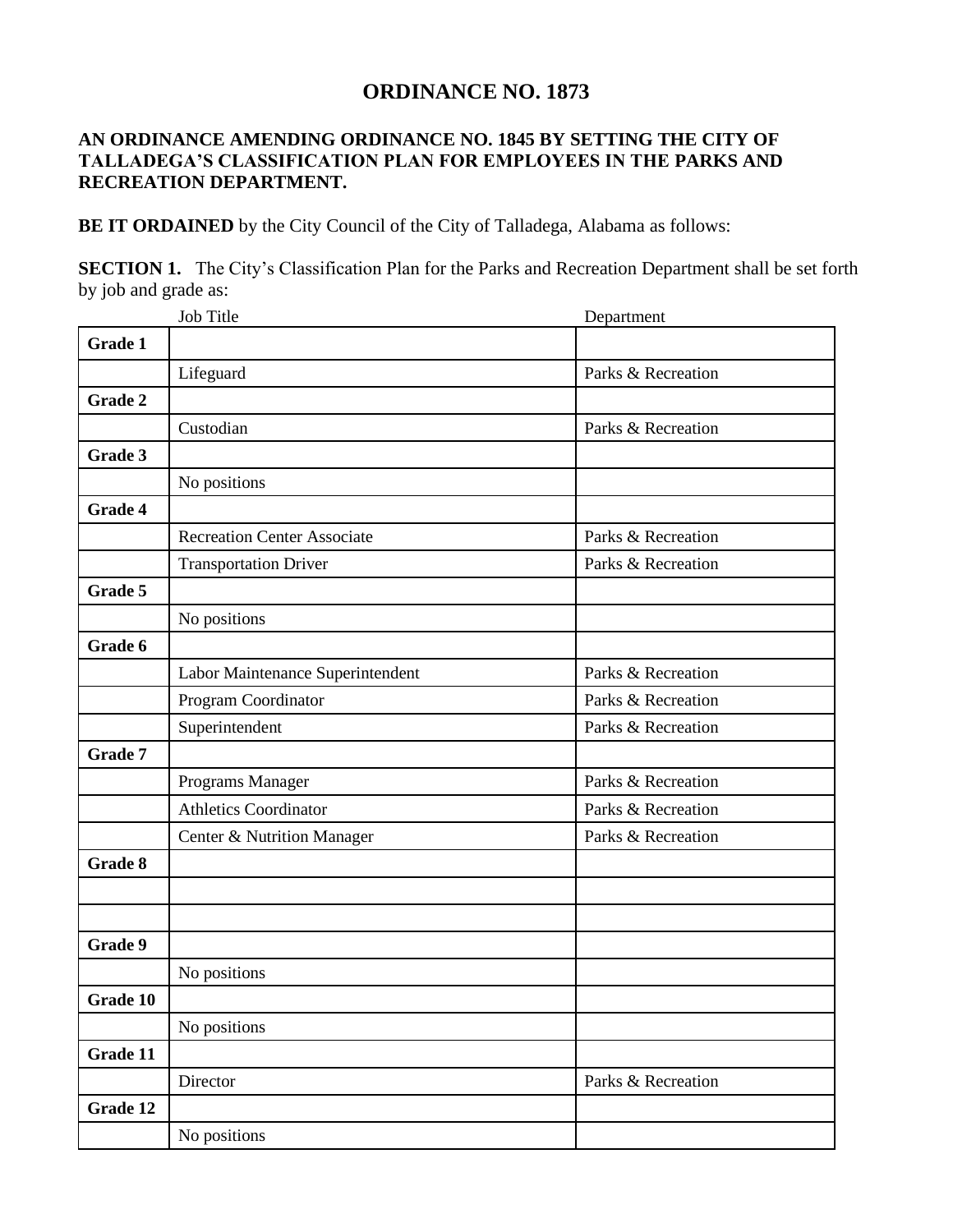## **ORDINANCE NO. 1873**

## **AN ORDINANCE AMENDING ORDINANCE NO. 1845 BY SETTING THE CITY OF TALLADEGA'S CLASSIFICATION PLAN FOR EMPLOYEES IN THE PARKS AND RECREATION DEPARTMENT.**

**BE IT ORDAINED** by the City Council of the City of Talladega, Alabama as follows:

**SECTION 1.** The City's Classification Plan for the Parks and Recreation Department shall be set forth by job and grade as:

|                | <b>Job Title</b>                   | Department         |
|----------------|------------------------------------|--------------------|
| <b>Grade 1</b> |                                    |                    |
|                | Lifeguard                          | Parks & Recreation |
| Grade 2        |                                    |                    |
|                | Custodian                          | Parks & Recreation |
| Grade 3        |                                    |                    |
|                | No positions                       |                    |
| Grade 4        |                                    |                    |
|                | <b>Recreation Center Associate</b> | Parks & Recreation |
|                | <b>Transportation Driver</b>       | Parks & Recreation |
| Grade 5        |                                    |                    |
|                | No positions                       |                    |
| Grade 6        |                                    |                    |
|                | Labor Maintenance Superintendent   | Parks & Recreation |
|                | Program Coordinator                | Parks & Recreation |
|                | Superintendent                     | Parks & Recreation |
| Grade 7        |                                    |                    |
|                | Programs Manager                   | Parks & Recreation |
|                | Athletics Coordinator              | Parks & Recreation |
|                | Center & Nutrition Manager         | Parks & Recreation |
| Grade 8        |                                    |                    |
|                |                                    |                    |
|                |                                    |                    |
| Grade 9        |                                    |                    |
|                | No positions                       |                    |
| Grade 10       |                                    |                    |
|                | No positions                       |                    |
| Grade 11       |                                    |                    |
|                | Director                           | Parks & Recreation |
| Grade 12       |                                    |                    |
|                | No positions                       |                    |